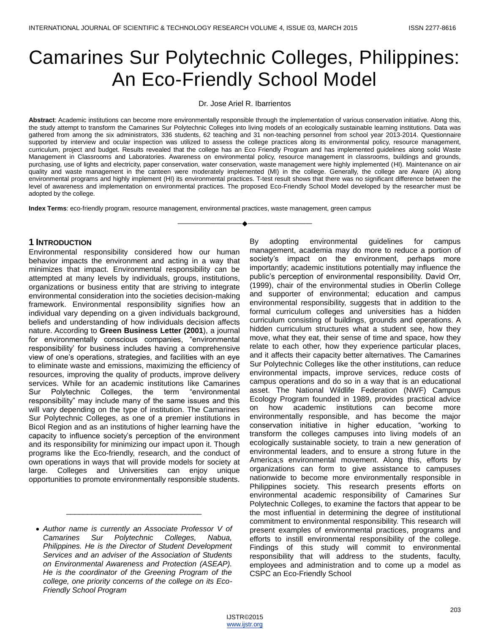# Camarines Sur Polytechnic Colleges, Philippines: An Eco-Friendly School Model

Dr. Jose Ariel R. Ibarrientos

**Abstract**: Academic institutions can become more environmentally responsible through the implementation of various conservation initiative. Along this, the study attempt to transform the Camarines Sur Polytechnic Colleges into living models of an ecologically sustainable learning institutions. Data was gathered from among the six administrators, 336 students, 62 teaching and 31 non-teaching personnel from school year 2013-2014. Questionnaire supported by interview and ocular inspection was utilized to assess the college practices along its environmental policy, resource management, curriculum, project and budget. Results revealed that the college has an Eco Friendly Program and has implemented guidelines along solid Waste Management in Classrooms and Laboratories. Awareness on environmental policy, resource management in classrooms, buildings and grounds, purchasing, use of lights and electricity, paper conservation, water conservation, waste management were highly implemented (HI). Maintenance on air quality and waste management in the canteen were moderately implemented (MI) in the college. Generally, the college are Aware (A) along environmental programs and highly implement (HI) its environmental practices. T-test result shows that there was no significant difference between the level of awareness and implementation on environmental practices. The proposed Eco-Friendly School Model developed by the researcher must be adopted by the college.

————————————————————

**Index Terms**: eco-friendly program, resource management, environmental practices, waste management, green campus

#### **1 INTRODUCTION**

Environmental responsibility considered how our human behavior impacts the environment and acting in a way that minimizes that impact. Environmental responsibility can be attempted at many levels by individuals, groups, institutions, organizations or business entity that are striving to integrate environmental consideration into the societies decision-making framework. Environmental responsibility signifies how an individual vary depending on a given individuals background, beliefs and understanding of how individuals decision affects nature. According to **Green Business Letter (2001**), a journal for environmentally conscious companies, "environmental responsibility' for business includes having a comprehensive view of one's operations, strategies, and facilities with an eye to eliminate waste and emissions, maximizing the efficiency of resources, improving the quality of products, improve delivery services. While for an academic institutions like Camarines Sur Polytechnic Colleges, the term "environmental responsibility" may include many of the same issues and this will vary depending on the type of institution. The Camarines Sur Polytechnic Colleges, as one of a premier institutions in Bicol Region and as an institutions of higher learning have the capacity to influence society's perception of the environment and its responsibility for minimizing our impact upon it. Though programs like the Eco-friendly, research, and the conduct of own operations in ways that will provide models for society at large. Colleges and Universities can enjoy unique opportunities to promote environmentally responsible students.

\_\_\_\_\_\_\_\_\_\_\_\_\_\_\_\_\_\_\_\_\_\_\_\_\_\_\_\_\_\_\_\_

By adopting environmental guidelines for campus management, academia may do more to reduce a portion of society's impact on the environment, perhaps more importantly; academic institutions potentially may influence the public's perception of environmental responsibility. David Orr, (1999), chair of the environmental studies in Oberlin College and supporter of environmental; education and campus environmental responsibility, suggests that in addition to the formal curriculum colleges and universities has a hidden curriculum consisting of buildings, grounds and operations. A hidden curriculum structures what a student see, how they move, what they eat, their sense of time and space, how they relate to each other, how they experience particular places, and it affects their capacity better alternatives. The Camarines Sur Polytechnic Colleges like the other institutions, can reduce environmental impacts, improve services, reduce costs of campus operations and do so in a way that is an educational asset. The National Wildlife Federation (NWF) Campus Ecology Program founded in 1989, provides practical advice on how academic institutions can become more environmentally responsible, and has become the major conservation initiative in higher education, "working to transform the colleges campuses into living models of an ecologically sustainable society, to train a new generation of environmental leaders, and to ensure a strong future in the America;s environmental movement. Along this, efforts by organizations can form to give assistance to campuses nationwide to become more environmentally responsible in Philippines society. This research presents efforts on environmental academic responsibility of Camarines Sur Polytechnic Colleges, to examine the factors that appear to be the most influential in determining the degree of institutional commitment to environmental responsibility. This research will present examples of environmental practices, programs and efforts to instill environmental responsibility of the college. Findings of this study will commit to environmental responsibility that will address to the students, faculty, employees and administration and to come up a model as CSPC an Eco-Friendly School

*Author name is currently an Associate Professor V of Camarines Sur Polytechnic Colleges, Nabua, Philippines. He is the Director of Student Development Services and an adviser of the Association of Students on Environmental Awareness and Protection (ASEAP). He is the coordinator of the Greening Program of the college, one priority concerns of the college on its Eco-Friendly School Program*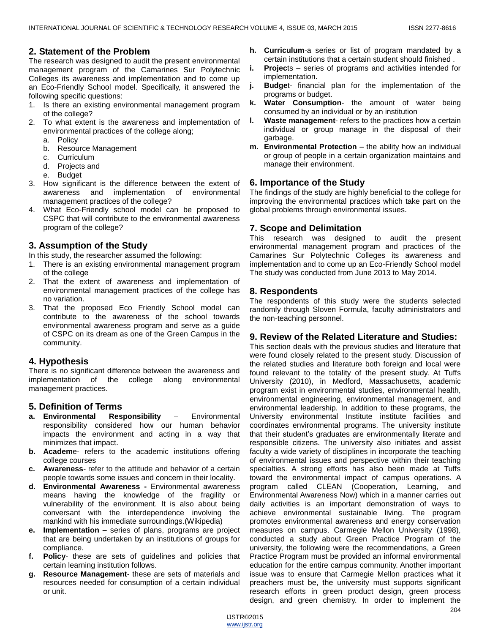## **2. Statement of the Problem**

The research was designed to audit the present environmental management program of the Camarines Sur Polytechnic Colleges its awareness and implementation and to come up an Eco-Friendly School model. Specifically, it answered the following specific questions:

- 1. Is there an existing environmental management program of the college?
- To what extent is the awareness and implementation of environmental practices of the college along;
	- a. Policy
	- b. Resource Management
	- c. Curriculum
	- d. Projects and
	- e. Budget
- 3. How significant is the difference between the extent of awareness and implementation of environmental management practices of the college?
- 4. What Eco-Friendly school model can be proposed to CSPC that will contribute to the environmental awareness program of the college?

# **3. Assumption of the Study**

In this study, the researcher assumed the following:

- 1. There is an existing environmental management program of the college
- 2. That the extent of awareness and implementation of environmental management practices of the college has no variation.
- 3. That the proposed Eco Friendly School model can contribute to the awareness of the school towards environmental awareness program and serve as a guide of CSPC on its dream as one of the Green Campus in the community.

# **4. Hypothesis**

There is no significant difference between the awareness and implementation of the college along environmental management practices.

# **5. Definition of Terms**

- **a. Environmental Responsibility** Environmental responsibility considered how our human behavior impacts the environment and acting in a way that minimizes that impact.
- **b. Academ**e- refers to the academic institutions offering college courses
- **c. Awareness** refer to the attitude and behavior of a certain people towards some issues and concern in their locality.
- **d. Environmental Awareness -** Environmental awareness means having the knowledge of the fragility or vulnerability of the environment. It is also about being conversant with the interdependence involving the mankind with his immediate surroundings.(Wikipedia)
- **e. Implementation –** series of plans, programs are project that are being undertaken by an institutions of groups for compliance.
- **f. Policy** these are sets of guidelines and policies that certain learning institution follows.
- **g. Resource Management** these are sets of materials and resources needed for consumption of a certain individual or unit.
- **h. Curriculum**-a series or list of program mandated by a certain institutions that a certain student should finished .
- **i. Projec**ts series of programs and activities intended for implementation.
- **j. Budge**t- financial plan for the implementation of the programs or budget.
- **k. Water Consumption** the amount of water being consumed by an individual or by an institution
- **l. Waste management** refers to the practices how a certain individual or group manage in the disposal of their garbage.
- **m. Environmental Protection** the ability how an individual or group of people in a certain organization maintains and manage their environment.

# **6. Importance of the Study**

The findings of the study are highly beneficial to the college for improving the environmental practices which take part on the global problems through environmental issues.

# **7. Scope and Delimitation**

This research was designed to audit the present environmental management program and practices of the Camarines Sur Polytechnic Colleges its awareness and implementation and to come up an Eco-Friendly School model The study was conducted from June 2013 to May 2014.

# **8. Respondents**

The respondents of this study were the students selected randomly through Sloven Formula, faculty administrators and the non-teaching personnel.

# **9. Review of the Related Literature and Studies:**

This section deals with the previous studies and literature that were found closely related to the present study. Discussion of the related studies and literature both foreign and local were found relevant to the totality of the present study. At Tuffs University (2010), in Medford, Massachusetts, academic program exist in environmental studies, environmental health, environmental engineering, environmental management, and environmental leadership. In addition to these programs, the University environmental Institute institute facilities and coordinates environmental programs. The university institute that their student's graduates are environmentally literate and responsible citizens. The university also initiates and assist faculty a wide variety of disciplines in incorporate the teaching of environmental issues and perspective within their teaching specialties. A strong efforts has also been made at Tuffs toward the environmental impact of campus operations. A program called CLEAN (Cooperation, Learning, and Environmental Awareness Now) which in a manner carries out daily activities is an important demonstration of ways to achieve environmental sustainable living. The program promotes environmental awareness and energy conservation measures on campus. Carmegie Mellon University (1998), conducted a study about Green Practice Program of the university, the following were the recommendations, a Green Practice Program must be provided an informal environmental education for the entire campus community. Another important issue was to ensure that Carmegie Mellon practices what it preachers must be, the university must supports significant research efforts in green product design, green process design, and green chemistry. In order to implement the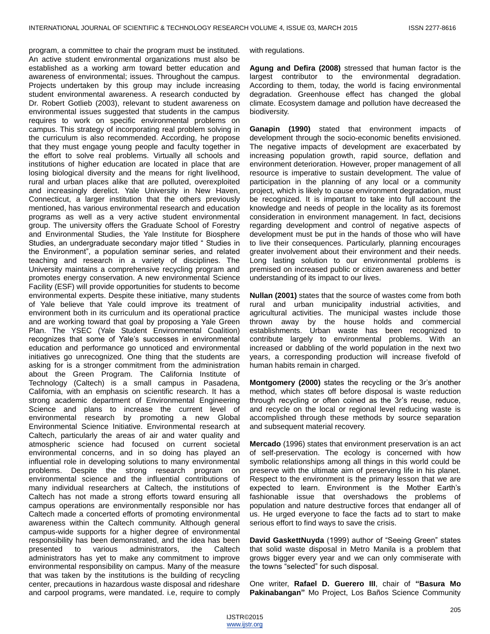program, a committee to chair the program must be instituted. An active student environmental organizations must also be established as a working arm toward better education and awareness of environmental; issues. Throughout the campus. Projects undertaken by this group may include increasing student environmental awareness. A research conducted by Dr. Robert Gotlieb (2003), relevant to student awareness on environmental issues suggested that students in the campus requires to work on specific environmental problems on campus. This strategy of incorporating real problem solving in the curriculum is also recommended. According, he propose that they must engage young people and faculty together in the effort to solve real problems. Virtually all schools and institutions of higher education are located in place that are losing biological diversity and the means for right livelihood, rural and urban places alike that are polluted, overexploited and increasingly derelict. Yale University in New Haven, Connecticut, a larger institution that the others previously mentioned, has various environmental research and education programs as well as a very active student environmental group. The university offers the Graduate School of Forestry and Environmental Studies, the Yale Institute for Biosphere Studies, an undergraduate secondary major titled "Studies in the Environment", a population seminar series, and related teaching and research in a variety of disciplines. The University maintains a comprehensive recycling program and promotes energy conservation. A new environmental Science Facility (ESF) will provide opportunities for students to become environmental experts. Despite these initiative, many students of Yale believe that Yale could improve its treatment of environment both in its curriculum and its operational practice and are working toward that goal by proposing a Yale Green Plan. The YSEC (Yale Student Environmental Coalition) recognizes that some of Yale's successes in environmental education and performance go unnoticed and environmental initiatives go unrecognized. One thing that the students are asking for is a stronger commitment from the administration about the Green Program. The California Institute of Technology (Caltech) is a small campus in Pasadena, California, with an emphasis on scientific research. It has a strong academic department of Environmental Engineering Science and plans to increase the current level of environmental research by promoting a new Global Environmental Science Initiative. Environmental research at Caltech, particularly the areas of air and water quality and atmospheric science had focused on current societal environmental concerns, and in so doing has played an influential role in developing solutions to many environmental problems. Despite the strong research program on environmental science and the influential contributions of many individual researchers at Caltech, the institutions of Caltech has not made a strong efforts toward ensuring all campus operations are environmentally responsible nor has Caltech made a concerted efforts of promoting environmental awareness within the Caltech community. Although general campus-wide supports for a higher degree of environmental responsibility has been demonstrated, and the idea has been presented to various administrators, the Caltech administrators has yet to make any commitment to improve environmental responsibility on campus. Many of the measure that was taken by the institutions is the building of recycling center, precautions in hazardous waste disposal and rideshare and carpool programs, were mandated. i.e, require to comply

with regulations.

**Agung and Defira (2008)** stressed that human factor is the largest contributor to the environmental degradation. According to them, today, the world is facing environmental degradation. Greenhouse effect has changed the global climate. Ecosystem damage and pollution have decreased the biodiversity.

**Ganapin (1990)** stated that environment impacts of development through the socio-economic benefits envisioned. The negative impacts of development are exacerbated by increasing population growth, rapid source, deflation and environment deterioration. However, proper management of all resource is imperative to sustain development. The value of participation in the planning of any local or a community project, which is likely to cause environment degradation, must be recognized. It is important to take into full account the knowledge and needs of people in the locality as its foremost consideration in environment management. In fact, decisions regarding development and control of negative aspects of development must be put in the hands of those who will have to live their consequences. Particularly, planning encourages greater involvement about their environment and their needs. Long lasting solution to our environmental problems is premised on increased public or citizen awareness and better understanding of its impact to our lives.

**Nullan (2001)** states that the source of wastes come from both rural and urban municipality industrial activities, and agricultural activities. The municipal wastes include those thrown away by the house holds and commercial establishments. Urban waste has been recognized to contribute largely to environmental problems. With an increased or dabbling of the world population in the next two years, a corresponding production will increase fivefold of human habits remain in charged.

**Montgomery (2000)** states the recycling or the 3r's another method, which states off before disposal is waste reduction through recycling or often coined as the 3r's reuse, reduce, and recycle on the local or regional level reducing waste is accomplished through these methods by source separation and subsequent material recovery.

**Mercado** (1996) states that environment preservation is an act of self-preservation. The ecology is concerned with how symbolic relationships among all things in this world could be preserve with the ultimate aim of preserving life in his planet. Respect to the environment is the primary lesson that we are expected to learn. Environment is the Mother Earth's fashionable issue that overshadows the problems of population and nature destructive forces that endanger all of us. He urged everyone to face the facts ad to start to make serious effort to find ways to save the crisis.

David GaskettNuyda (1999) author of "Seeing Green" states that solid waste disposal in Metro Manila is a problem that grows bigger every year and we can only commiserate with the towns "selected" for such disposal.

One writer, **Rafael D. Guerero III**, chair of **"Basura Mo Pakinabangan"** Mo Project, Los Baños Science Community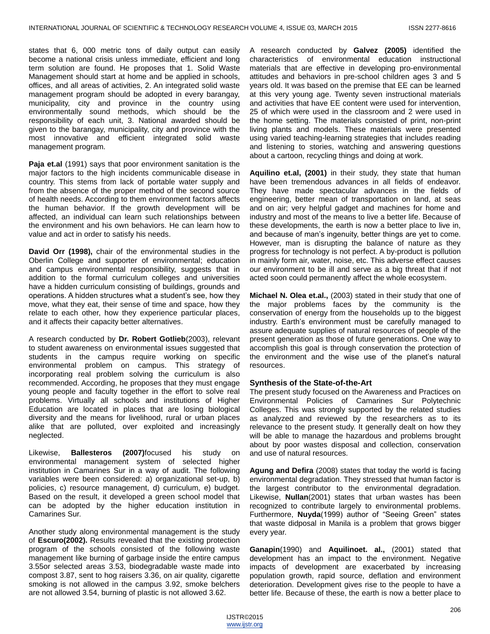states that 6, 000 metric tons of daily output can easily become a national crisis unless immediate, efficient and long term solution are found. He proposes that 1. Solid Waste Management should start at home and be applied in schools, offices, and all areas of activities, 2. An integrated solid waste management program should be adopted in every barangay, municipality, city and province in the country using environmentally sound methods, which should be the responsibility of each unit, 3. National awarded should be given to the barangay, municipality, city and province with the most innovative and efficient integrated solid waste management program.

**Paja et.al** (1991) says that poor environment sanitation is the major factors to the high incidents communicable disease in country. This stems from lack of portable water supply and from the absence of the proper method of the second source of health needs. According to them environment factors affects the human behavior. If the growth development will be affected, an individual can learn such relationships between the environment and his own behaviors. He can learn how to value and act in order to satisfy his needs.

**David Orr (1998),** chair of the environmental studies in the Oberlin College and supporter of environmental; education and campus environmental responsibility, suggests that in addition to the formal curriculum colleges and universities have a hidden curriculum consisting of buildings, grounds and operations. A hidden structures what a student's see, how they move, what they eat, their sense of time and space, how they relate to each other, how they experience particular places, and it affects their capacity better alternatives.

A research conducted by **Dr. Robert Gotlieb**(2003), relevant to student awareness on environmental issues suggested that students in the campus require working on specific environmental problem on campus. This strategy of incorporating real problem solving the curriculum is also recommended. According, he proposes that they must engage young people and faculty together in the effort to solve real problems. Virtually all schools and institutions of Higher Education are located in places that are losing biological diversity and the means for livelihood, rural or urban places alike that are polluted, over exploited and increasingly neglected.

Likewise, **Ballesteros (2007)**focused his study on environmental management system of selected higher institution in Camarines Sur in a way of audit. The following variables were been considered: a) organizational set-up, b) policies, c) resource management, d) curriculum, e) budget. Based on the result, it developed a green school model that can be adopted by the higher education institution in Camarines Sur.

Another study along environmental management is the study of **Escuro(2002).** Results revealed that the existing protection program of the schools consisted of the following waste management like burning of garbage inside the entire campus 3.55or selected areas 3.53, biodegradable waste made into compost 3.87, sent to hog raisers 3.36, on air quality, cigarette smoking is not allowed in the campus 3.92, smoke belchers are not allowed 3.54, burning of plastic is not allowed 3.62.

A research conducted by **Galvez (2005)** identified the characteristics of environmental education instructional materials that are effective in developing pro-environmental attitudes and behaviors in pre-school children ages 3 and 5 years old. It was based on the premise that EE can be learned at this very young age. Twenty seven instructional materials and activities that have EE content were used for intervention, 25 of which were used in the classroom and 2 were used in the home setting. The materials consisted of print, non-print living plants and models. These materials were presented using varied teaching-learning strategies that includes reading and listening to stories, watching and answering questions about a cartoon, recycling things and doing at work.

**Aquilino et.al, (2001)** in their study, they state that human have been tremendous advances in all fields of endeavor. They have made spectacular advances in the fields of engineering, better mean of transportation on land, at seas and on air; very helpful gadget and machines for home and industry and most of the means to live a better life. Because of these developments, the earth is now a better place to live in, and because of man's ingenuity, better things are yet to come. However, man is disrupting the balance of nature as they progress for technology is not perfect. A by-product is pollution in mainly form air, water, noise, etc. This adverse effect causes our environment to be ill and serve as a big threat that if not acted soon could permanently affect the whole ecosystem.

**Michael N. Olea et.al.,** (2003) stated in their study that one of the major problems faces by the community is the conservation of energy from the households up to the biggest industry. Earth's environment must be carefully managed to assure adequate supplies of natural resources of people of the present generation as those of future generations. One way to accomplish this goal is through conservation the protection of the environment and the wise use of the planet's natural resources.

#### **Synthesis of the State-of-the-Art**

The present study focused on the Awareness and Practices on Environmental Policies of Camarines Sur Polytechnic Colleges. This was strongly supported by the related studies as analyzed and reviewed by the researchers as to its relevance to the present study. It generally dealt on how they will be able to manage the hazardous and problems brought about by poor wastes disposal and collection, conservation and use of natural resources.

**Agung and Defira** (2008) states that today the world is facing environmental degradation. They stressed that human factor is the largest contributor to the environmental degradation. Likewise, **Nullan**(2001) states that urban wastes has been recognized to contribute largely to environmental problems. Furthermore, Nuyda(1999) author of "Seeing Green" states that waste didposal in Manila is a problem that grows bigger every year.

**Ganapin**(1990) and **Aquilinoet. al.,** (2001) stated that development has an impact to the environment. Negative impacts of development are exacerbated by increasing population growth, rapid source, deflation and environment deterioration. Development gives rise to the people to have a better life. Because of these, the earth is now a better place to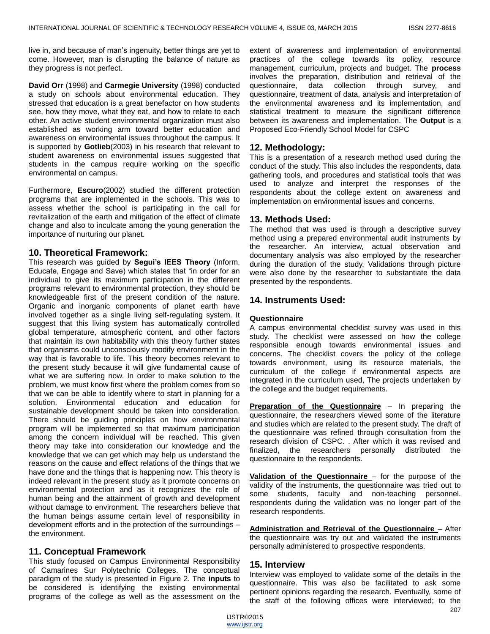live in, and because of man's ingenuity, better things are yet to come. However, man is disrupting the balance of nature as they progress is not perfect.

**David Orr** (1998) and **Carmegie University** (1998) conducted a study on schools about environmental education. They stressed that education is a great benefactor on how students see, how they move, what they eat, and how to relate to each other. An active student environmental organization must also established as working arm toward better education and awareness on environmental issues throughout the campus. It is supported by **Gotlieb**(2003) in his research that relevant to student awareness on environmental issues suggested that students in the campus require working on the specific environmental on campus.

Furthermore, **Escuro**(2002) studied the different protection programs that are implemented in the schools. This was to assess whether the school is participating in the call for revitalization of the earth and mitigation of the effect of climate change and also to inculcate among the young generation the importance of nurturing our planet.

## **10. Theoretical Framework:**

This research was guided by **Segui's IEES Theory** (Inform, Educate, Engage and Save) which states that "in order for an individual to give its maximum participation in the different programs relevant to environmental protection, they should be knowledgeable first of the present condition of the nature. Organic and inorganic components of planet earth have involved together as a single living self-regulating system. It suggest that this living system has automatically controlled global temperature, atmospheric content, and other factors that maintain its own habitability with this theory further states that organisms could unconsciously modify environment in the way that is favorable to life. This theory becomes relevant to the present study because it will give fundamental cause of what we are suffering now. In order to make solution to the problem, we must know first where the problem comes from so that we can be able to identify where to start in planning for a solution. Environmental education and education for sustainable development should be taken into consideration. There should be guiding principles on how environmental program will be implemented so that maximum participation among the concern individual will be reached. This given theory may take into consideration our knowledge and the knowledge that we can get which may help us understand the reasons on the cause and effect relations of the things that we have done and the things that is happening now. This theory is indeed relevant in the present study as it promote concerns on environmental protection and as it recognizes the role of human being and the attainment of growth and development without damage to environment. The researchers believe that the human beings assume certain level of responsibility in development efforts and in the protection of the surroundings – the environment.

## **11. Conceptual Framework**

This study focused on Campus Environmental Responsibility of Camarines Sur Polytechnic Colleges. The conceptual paradigm of the study is presented in Figure 2. The **inputs** to be considered is identifying the existing environmental programs of the college as well as the assessment on the extent of awareness and implementation of environmental practices of the college towards its policy, resource management, curriculum, projects and budget. The **process** involves the preparation, distribution and retrieval of the questionnaire, data collection through survey, and questionnaire, treatment of data, analysis and interpretation of the environmental awareness and its implementation, and statistical treatment to measure the significant difference between its awareness and implementation. The **Output** is a Proposed Eco-Friendly School Model for CSPC

# **12. Methodology:**

This is a presentation of a research method used during the conduct of the study. This also includes the respondents, data gathering tools, and procedures and statistical tools that was used to analyze and interpret the responses of the respondents about the college extent on awareness and implementation on environmental issues and concerns.

## **13. Methods Used:**

The method that was used is through a descriptive survey method using a prepared environmental audit instruments by the researcher. An interview, actual observation and documentary analysis was also employed by the researcher during the duration of the study. Validations through picture were also done by the researcher to substantiate the data presented by the respondents.

## **14. Instruments Used:**

## **Questionnaire**

A campus environmental checklist survey was used in this study. The checklist were assessed on how the college responsible enough towards environmental issues and concerns. The checklist covers the policy of the college towards environment, using its resource materials, the curriculum of the college if environmental aspects are integrated in the curriculum used, The projects undertaken by the college and the budget requirements.

**Preparation of the Questionnaire** – In preparing the questionnaire, the researchers viewed some of the literature and studies which are related to the present study. The draft of the questionnaire was refined through consultation from the research division of CSPC. . After which it was revised and finalized, the researchers personally distributed the questionnaire to the respondents.

**Validation of the Questionnaire** – for the purpose of the validity of the instruments, the questionnaire was tried out to some students, faculty and non-teaching personnel. respondents during the validation was no longer part of the research respondents.

**Administration and Retrieval of the Questionnaire** – After the questionnaire was try out and validated the instruments personally administered to prospective respondents.

## **15. Interview**

Interview was employed to validate some of the details in the questionnaire. This was also be facilitated to ask some pertinent opinions regarding the research. Eventually, some of the staff of the following offices were interviewed; to the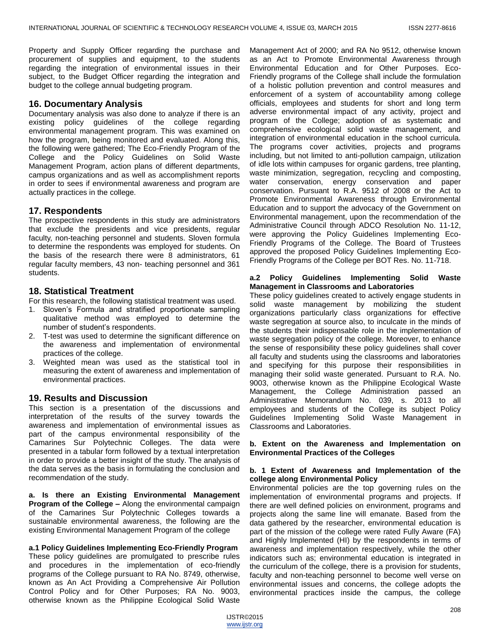Property and Supply Officer regarding the purchase and procurement of supplies and equipment, to the students regarding the integration of environmental issues in their subject, to the Budget Officer regarding the integration and budget to the college annual budgeting program.

## **16. Documentary Analysis**

Documentary analysis was also done to analyze if there is an existing policy guidelines of the college regarding environmental management program. This was examined on how the program, being monitored and evaluated. Along this, the following were gathered; The Eco-Friendly Program of the College and the Policy Guidelines on Solid Waste Management Program, action plans of different departments, campus organizations and as well as accomplishment reports in order to sees if environmental awareness and program are actually practices in the college.

## **17. Respondents**

The prospective respondents in this study are administrators that exclude the presidents and vice presidents, regular faculty, non-teaching personnel and students. Sloven formula to determine the respondents was employed for students. On the basis of the research there were 8 administrators, 61 regular faculty members, 43 non- teaching personnel and 361 students.

## **18. Statistical Treatment**

For this research, the following statistical treatment was used.

- 1. Sloven's Formula and stratified proportionate sampling qualitative method was employed to determine the number of student's respondents.
- 2. T-test was used to determine the significant difference on the awareness and implementation of environmental practices of the college.
- 3. Weighted mean was used as the statistical tool in measuring the extent of awareness and implementation of environmental practices.

## **19. Results and Discussion**

This section is a presentation of the discussions and interpretation of the results of the survey towards the awareness and implementation of environmental issues as part of the campus environmental responsibility of the Camarines Sur Polytechnic Colleges. The data were presented in a tabular form followed by a textual interpretation in order to provide a better insight of the study. The analysis of the data serves as the basis in formulating the conclusion and recommendation of the study.

**a. Is there an Existing Environmental Management Program of the College –** Along the environmental campaign of the Camarines Sur Polytechnic Colleges towards a sustainable environmental awareness, the following are the existing Environmental Management Program of the college

**a.1 Policy Guidelines Implementing Eco-Friendly Program**  These policy guidelines are promulgated to prescribe rules and procedures in the implementation of eco-friendly programs of the College pursuant to RA No. 8749, otherwise, known as An Act Providing a Comprehensive Air Pollution Control Policy and for Other Purposes; RA No. 9003, otherwise known as the Philippine Ecological Solid Waste

Management Act of 2000; and RA No 9512, otherwise known as an Act to Promote Environmental Awareness through Environmental Education and for Other Purposes. Eco-Friendly programs of the College shall include the formulation of a holistic pollution prevention and control measures and enforcement of a system of accountability among college officials, employees and students for short and long term adverse environmental impact of any activity, project and program of the College; adoption of as systematic and comprehensive ecological solid waste management, and integration of environmental education in the school curricula. The programs cover activities, projects and programs including, but not limited to anti-pollution campaign, utilization of idle lots within campuses for organic gardens, tree planting, waste minimization, segregation, recycling and composting, water conservation, energy conservation and paper conservation. Pursuant to R.A. 9512 of 2008 or the Act to Promote Environmental Awareness through Environmental Education and to support the advocacy of the Government on Environmental management, upon the recommendation of the Administrative Council through ADCO Resolution No. 11-12, were approving the Policy Guidelines Implementing Eco-Friendly Programs of the College. The Board of Trustees approved the proposed Policy Guidelines Implementing Eco-Friendly Programs of the College per BOT Res. No. 11-718.

#### **a.2 Policy Guidelines Implementing Solid Waste Management in Classrooms and Laboratories**

These policy guidelines created to actively engage students in solid waste management by mobilizing the student organizations particularly class organizations for effective waste segregation at source also, to inculcate in the minds of the students their indispensable role in the implementation of waste segregation policy of the college. Moreover, to enhance the sense of responsibility these policy guidelines shall cover all faculty and students using the classrooms and laboratories and specifying for this purpose their responsibilities in managing their solid waste generated. Pursuant to R.A. No. 9003, otherwise known as the Philippine Ecological Waste Management, the College Administration passed an Administrative Memorandum No. 039, s. 2013 to all employees and students of the College its subject Policy Guidelines Implementing Solid Waste Management in Classrooms and Laboratories.

#### **b. Extent on the Awareness and Implementation on Environmental Practices of the Colleges**

#### **b. 1 Extent of Awareness and Implementation of the college along Environmental Policy**

Environmental policies are the top governing rules on the implementation of environmental programs and projects. If there are well defined policies on environment, programs and projects along the same line will emanate. Based from the data gathered by the researcher, environmental education is part of the mission of the college were rated Fully Aware (FA) and Highly Implemented (HI) by the respondents in terms of awareness and implementation respectively, while the other indicators such as; environmental education is integrated in the curriculum of the college, there is a provision for students, faculty and non-teaching personnel to become well verse on environmental issues and concerns, the college adopts the environmental practices inside the campus, the college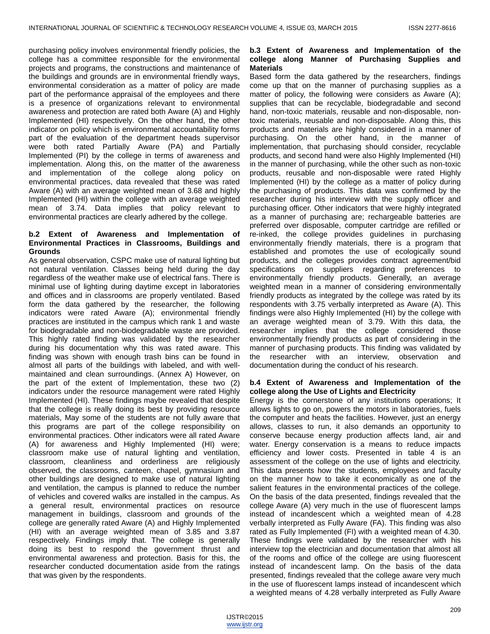purchasing policy involves environmental friendly policies, the college has a committee responsible for the environmental projects and programs, the constructions and maintenance of the buildings and grounds are in environmental friendly ways, environmental consideration as a matter of policy are made part of the performance appraisal of the employees and there is a presence of organizations relevant to environmental awareness and protection are rated both Aware (A) and Highly Implemented (HI) respectively. On the other hand, the other indicator on policy which is environmental accountability forms part of the evaluation of the department heads supervisor were both rated Partially Aware (PA) and Partially Implemented (PI) by the college in terms of awareness and implementation. Along this, on the matter of the awareness and implementation of the college along policy on environmental practices, data revealed that these was rated Aware (A) with an average weighted mean of 3.68 and highly Implemented (HI) within the college with an average weighted mean of 3.74. Data implies that policy relevant to environmental practices are clearly adhered by the college.

#### **b.2 Extent of Awareness and Implementation of Environmental Practices in Classrooms, Buildings and Grounds**

As general observation, CSPC make use of natural lighting but not natural ventilation. Classes being held during the day regardless of the weather make use of electrical fans. There is minimal use of lighting during daytime except in laboratories and offices and in classrooms are properly ventilated. Based form the data gathered by the researcher, the following indicators were rated Aware (A); environmental friendly practices are instituted in the campus which rank 1 and waste for biodegradable and non-biodegradable waste are provided. This highly rated finding was validated by the researcher during his documentation why this was rated aware. This finding was shown with enough trash bins can be found in almost all parts of the buildings with labeled, and with wellmaintained and clean surroundings. (Annex A) However, on the part of the extent of Implementation, these two (2) indicators under the resource management were rated Highly Implemented (HI). These findings maybe revealed that despite that the college is really doing its best by providing resource materials, May some of the students are not fully aware that this programs are part of the college responsibility on environmental practices. Other indicators were all rated Aware (A) for awareness and Highly Implemented (HI) were; classroom make use of natural lighting and ventilation, classroom, cleanliness and orderliness are religiously observed, the classrooms, canteen, chapel, gymnasium and other buildings are designed to make use of natural lighting and ventilation, the campus is planned to reduce the number of vehicles and covered walks are installed in the campus. As a general result, environmental practices on resource management in buildings, classroom and grounds of the college are generally rated Aware (A) and Highly Implemented (HI) with an average weighted mean of 3.85 and 3.87 respectively. Findings imply that. The college is generally doing its best to respond the government thrust and environmental awareness and protection. Basis for this, the researcher conducted documentation aside from the ratings that was given by the respondents.

## **b.3 Extent of Awareness and Implementation of the college along Manner of Purchasing Supplies and Materials**

Based form the data gathered by the researchers, findings come up that on the manner of purchasing supplies as a matter of policy, the following were considers as Aware (A); supplies that can be recyclable, biodegradable and second hand, non-toxic materials, reusable and non-disposable, nontoxic materials, reusable and non-disposable. Along this, this products and materials are highly considered in a manner of purchasing. On the other hand, in the manner of implementation, that purchasing should consider, recyclable products, and second hand were also Highly Implemented (HI) in the manner of purchasing, while the other such as non-toxic products, reusable and non-disposable were rated Highly Implemented (HI) by the college as a matter of policy during the purchasing of products. This data was confirmed by the researcher during his interview with the supply officer and purchasing officer. Other indicators that were highly integrated as a manner of purchasing are; rechargeable batteries are preferred over disposable, computer cartridge are refilled or re-inked, the college provides guidelines in purchasing environmentally friendly materials, there is a program that established and promotes the use of ecologically sound products, and the colleges provides contract agreement/bid specifications on suppliers regarding preferences to environmentally friendly products. Generally, an average weighted mean in a manner of considering environmentally friendly products as integrated by the college was rated by its respondents with 3.75 verbally interpreted as Aware (A). This findings were also Highly Implemented (HI) by the college with an average weighted mean of 3.79. With this data, the researcher implies that the college considered those environmentally friendly products as part of considering in the manner of purchasing products. This finding was validated by the researcher with an interview, observation and documentation during the conduct of his research.

#### **b.4 Extent of Awareness and Implementation of the college along the Use of Lights and Electricity**

Energy is the cornerstone of any institutions operations; It allows lights to go on, powers the motors in laboratories, fuels the computer and heats the facilities. However, just an energy allows, classes to run, it also demands an opportunity to conserve because energy production affects land, air and water. Energy conservation is a means to reduce impacts efficiency and lower costs. Presented in table 4 is an assessment of the college on the use of lights and electricity. This data presents how the students, employees and faculty on the manner how to take it economically as one of the salient features in the environmental practices of the college. On the basis of the data presented, findings revealed that the college Aware (A) very much in the use of fluorescent lamps instead of incandescent which a weighted mean of 4.28 verbally interpreted as Fully Aware (FA). This finding was also rated as Fully Implemented (FI) with a weighted mean of 4.30. These findings were validated by the researcher with his interview top the electrician and documentation that almost all of the rooms and office of the college are using fluorescent instead of incandescent lamp. On the basis of the data presented, findings revealed that the college aware very much in the use of fluorescent lamps instead of incandescent which a weighted means of 4.28 verbally interpreted as Fully Aware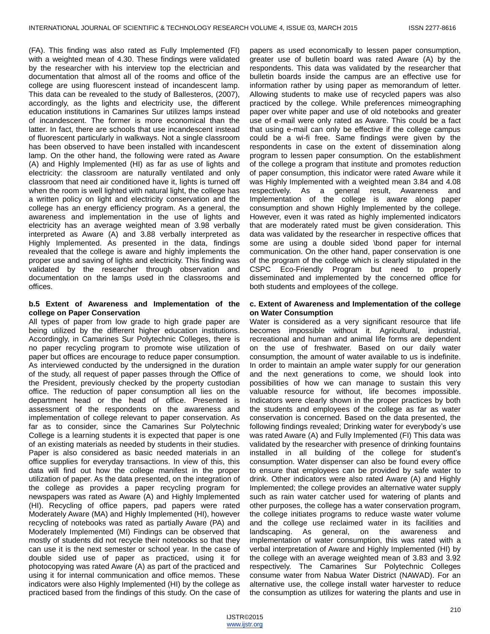(FA). This finding was also rated as Fully Implemented (FI) with a weighted mean of 4.30. These findings were validated by the researcher with his interview top the electrician and documentation that almost all of the rooms and office of the college are using fluorescent instead of incandescent lamp. This data can be revealed to the study of Ballesteros, (2007), accordingly, as the lights and electricity use, the different education institutions in Camarines Sur utilizes lamps instead of incandescent. The former is more economical than the latter. In fact, there are schools that use incandescent instead of fluorescent particularly in walkways. Not a single classroom has been observed to have been installed with incandescent lamp. On the other hand, the following were rated as Aware (A) and Highly Implemented (HI) as far as use of lights and electricity: the classroom are naturally ventilated and only classroom that need air conditioned have it, lights is turned off when the room is well lighted with natural light, the college has a written policy on light and electricity conservation and the college has an energy efficiency program. As a general, the awareness and implementation in the use of lights and electricity has an average weighted mean of 3.98 verbally interpreted as Aware (A) and 3.88 verbally interpreted as Highly Implemented. As presented in the data, findings revealed that the college is aware and highly implements the proper use and saving of lights and electricity. This finding was validated by the researcher through observation and documentation on the lamps used in the classrooms and offices.

#### **b.5 Extent of Awareness and Implementation of the college on Paper Conservation**

All types of paper from low grade to high grade paper are being utilized by the different higher education institutions. Accordingly, in Camarines Sur Polytechnic Colleges, there is no paper recycling program to promote wise utilization of paper but offices are encourage to reduce paper consumption. As interviewed conducted by the undersigned in the duration of the study, all request of paper passes through the Office of the President, previously checked by the property custodian office. The reduction of paper consumption all lies on the department head or the head of office. Presented is assessment of the respondents on the awareness and implementation of college relevant to paper conservation. As far as to consider, since the Camarines Sur Polytechnic College is a learning students it is expected that paper is one of an existing materials as needed by students in their studies. Paper is also considered as basic needed materials in an office supplies for everyday transactions. In view of this, this data will find out how the college manifest in the proper utilization of paper. As the data presented, on the integration of the college as provides a paper recycling program for newspapers was rated as Aware (A) and Highly Implemented (HI). Recycling of office papers, pad papers were rated Moderately Aware (MA) and Highly Implemented (HI), however recycling of notebooks was rated as partially Aware (PA) and Moderately Implemented (MI) Findings can be observed that mostly of students did not recycle their notebooks so that they can use it is the next semester or school year. In the case of double sided use of paper as practiced, using it for photocopying was rated Aware (A) as part of the practiced and using it for internal communication and office memos. These indicators were also Highly Implemented (HI) by the college as practiced based from the findings of this study. On the case of

papers as used economically to lessen paper consumption, greater use of bulletin board was rated Aware (A) by the respondents. This data was validated by the researcher that bulletin boards inside the campus are an effective use for information rather by using paper as memorandum of letter. Allowing students to make use of recycled papers was also practiced by the college. While preferences mimeographing paper over white paper and use of old notebooks and greater use of e-mail were only rated as Aware. This could be a fact that using e-mail can only be effective if the college campus could be a wi-fi free. Same findings were given by the respondents in case on the extent of dissemination along program to lessen paper consumption. On the establishment of the college a program that institute and promotes reduction of paper consumption, this indicator were rated Aware while it was Highly Implemented with a weighted mean 3.84 and 4.08 respectively. As a general result, Awareness and Implementation of the college is aware along paper consumption and shown Highly Implemented by the college. However, even it was rated as highly implemented indicators that are moderately rated must be given consideration. This data was validated by the researcher in respective offices that some are using a double sided \bond paper for internal communication. On the other hand, paper conservation is one of the program of the college which is clearly stipulated in the CSPC Eco-Friendly Program but need to properly disseminated and implemented by the concerned office for both students and employees of the college.

#### **c. Extent of Awareness and Implementation of the college on Water Consumption**

Water is considered as a very significant resource that life becomes impossible without it. Agricultural, industrial, recreational and human and animal life forms are dependent on the use of freshwater. Based on our daily water consumption, the amount of water available to us is indefinite. In order to maintain an ample water supply for our generation and the next generations to come, we should look into possibilities of how we can manage to sustain this very valuable resource for without, life becomes impossible. Indicators were clearly shown in the proper practices by both the students and employees of the college as far as water conservation is concerned. Based on the data presented, the following findings revealed; Drinking water for everybody's use was rated Aware (A) and Fully Implemented (FI) This data was validated by the researcher with presence of drinking fountains installed in all building of the college for student's consumption. Water dispenser can also be found every office to ensure that employees can be provided by safe water to drink. Other indicators were also rated Aware (A) and Highly Implemented; the college provides an alternative water supply such as rain water catcher used for watering of plants and other purposes, the college has a water conservation program, the college initiates programs to reduce waste water volume and the college use reclaimed water in its facilities and landscaping. As general, on the awareness and implementation of water consumption, this was rated with a verbal interpretation of Aware and Highly Implemented (HI) by the college with an average weighted mean of 3.83 and 3.92 respectively. The Camarines Sur Polytechnic Colleges consume water from Nabua Water District (NAWAD). For an alternative use, the college install water harvester to reduce the consumption as utilizes for watering the plants and use in

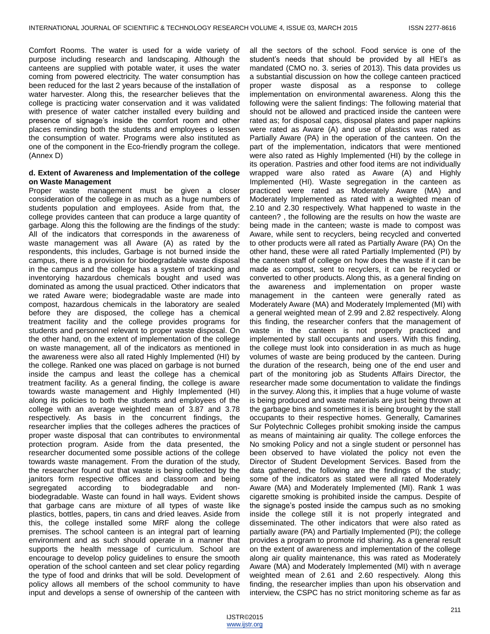Comfort Rooms. The water is used for a wide variety of purpose including research and landscaping. Although the canteens are supplied with potable water, it uses the water coming from powered electricity. The water consumption has been reduced for the last 2 years because of the installation of water harvester. Along this, the researcher believes that the college is practicing water conservation and it was validated with presence of water catcher installed every building and presence of signage's inside the comfort room and other places reminding both the students and employees o lessen the consumption of water. Programs were also instituted as one of the component in the Eco-friendly program the college. (Annex D)

#### **d. Extent of Awareness and Implementation of the college on Waste Management**

Proper waste management must be given a closer consideration of the college in as much as a huge numbers of students population and employees. Aside from that, the college provides canteen that can produce a large quantity of garbage. Along this the following are the findings of the study: All of the indicators that corresponds in the awareness of waste management was all Aware (A) as rated by the respondents, this includes, Garbage is not burned inside the campus, there is a provision for biodegradable waste disposal in the campus and the college has a system of tracking and inventorying hazardous chemicals bought and used was dominated as among the usual practiced. Other indicators that we rated Aware were; biodegradable waste are made into compost, hazardous chemicals in the laboratory are sealed before they are disposed, the college has a chemical treatment facility and the college provides programs for students and personnel relevant to proper waste disposal. On the other hand, on the extent of implementation of the college on waste management, all of the indicators as mentioned in the awareness were also all rated Highly Implemented (HI) by the college. Ranked one was placed on garbage is not burned inside the campus and least the college has a chemical treatment facility. As a general finding, the college is aware towards waste management and Highly Implemented (HI) along its policies to both the students and employees of the college with an average weighted mean of 3.87 and 3.78 respectively. As basis in the concurrent findings, the researcher implies that the colleges adheres the practices of proper waste disposal that can contributes to environmental protection program. Aside from the data presented, the researcher documented some possible actions of the college towards waste management. From the duration of the study, the researcher found out that waste is being collected by the janitors form respective offices and classroom and being segregated according to biodegradable and nonbiodegradable. Waste can found in hall ways. Evident shows that garbage cans are mixture of all types of waste like plastics, bottles, papers, tin cans and dried leaves. Aside from this, the college installed some MRF along the college premises. The school canteen is an integral part of learning environment and as such should operate in a manner that supports the health message of curriculum. School are encourage to develop policy guidelines to ensure the smooth operation of the school canteen and set clear policy regarding the type of food and drinks that will be sold. Development of policy allows all members of the school community to have input and develops a sense of ownership of the canteen with

all the sectors of the school. Food service is one of the student's needs that should be provided by all HEI's as mandated (CMO no. 3. series of 2013). This data provides us a substantial discussion on how the college canteen practiced proper waste disposal as a response to college implementation on environmental awareness. Along this the following were the salient findings: The following material that should not be allowed and practiced inside the canteen were rated as; for disposal caps, disposal plates and paper napkins were rated as Aware (A) and use of plastics was rated as Partially Aware (PA) in the operation of the canteen. On the part of the implementation, indicators that were mentioned were also rated as Highly Implemented (HI) by the college in its operation. Pastries and other food items are not individually wrapped ware also rated as Aware (A) and Highly Implemented (HI). Waste segregation in the canteen as practiced were rated as Moderately Aware (MA) and Moderately Implemented as rated with a weighted mean of 2.10 and 2.30 respectively. What happened to waste in the canteen? , the following are the results on how the waste are being made in the canteen; waste is made to compost was Aware, while sent to recyclers, being recycled and converted to other products were all rated as Partially Aware (PA) On the other hand, these were all rated Partially Implemented (PI) by the canteen staff of college on how does the waste if it can be made as compost, sent to recyclers, it can be recycled or converted to other products. Along this, as a general finding on the awareness and implementation on proper waste management in the canteen were generally rated as Moderately Aware (MA) and Moderately Implemented (MI) with a general weighted mean of 2.99 and 2.82 respectively. Along this finding, the researcher confers that the management of waste in the canteen is not properly practiced and implemented by stall occupants and users. With this finding, the college must look into consideration in as much as huge volumes of waste are being produced by the canteen. During the duration of the research, being one of the end user and part of the monitoring job as Students Affairs Director, the researcher made some documentation to validate the findings in the survey. Along this, it implies that a huge volume of waste is being produced and waste materials are just being thrown at the garbage bins and sometimes it is being brought by the stall occupants to their respective homes. Generally, Camarines Sur Polytechnic Colleges prohibit smoking inside the campus as means of maintaining air quality. The college enforces the No smoking Policy and not a single student or personnel has been observed to have violated the policy not even the Director of Student Development Services. Based from the data gathered, the following are the findings of the study; some of the indicators as stated were all rated Moderately Aware (MA) and Moderately Implemented (MI). Rank 1 was cigarette smoking is prohibited inside the campus. Despite of the signage's posted inside the campus such as no smoking inside the college still it is not properly integrated and disseminated. The other indicators that were also rated as partially aware (PA) and Partially Implemented (PI); the college provides a program to promote rid sharing. As a general result on the extent of awareness and implementation of the college along air quality maintenance, this was rated as Moderately Aware (MA) and Moderately Implemented (MI) with n average weighted mean of 2.61 and 2.60 respectively. Along this finding, the researcher implies than upon his observation and interview, the CSPC has no strict monitoring scheme as far as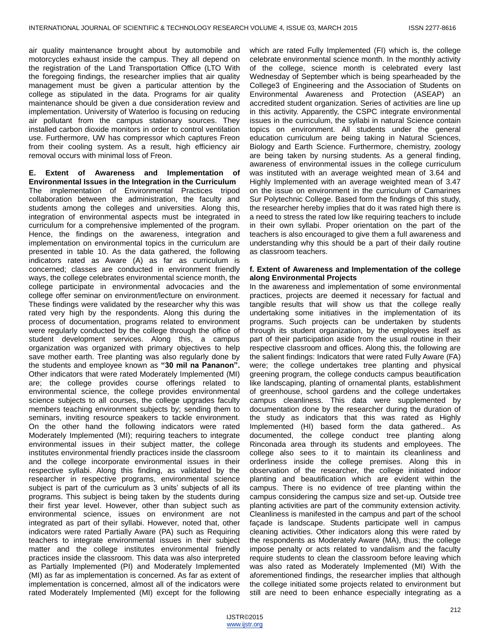air quality maintenance brought about by automobile and motorcycles exhaust inside the campus. They all depend on the registration of the Land Transportation Office (LTO With the foregoing findings, the researcher implies that air quality management must be given a particular attention by the college as stipulated in the data. Programs for air quality maintenance should be given a due consideration review and implementation. University of Waterloo is focusing on reducing air pollutant from the campus stationary sources. They installed carbon dioxide monitors in order to control ventilation use. Furthermore, UW has compressor which captures Freon from their cooling system. As a result, high efficiency air removal occurs with minimal loss of Freon.

**E. Extent of Awareness and Implementation of Environmental Issues in the Integration in the Curriculum** The implementation of Environmental Practices tripod collaboration between the administration, the faculty and students among the colleges and universities. Along this, integration of environmental aspects must be integrated in curriculum for a comprehensive implemented of the program. Hence, the findings on the awareness, integration and implementation on environmental topics in the curriculum are presented in table 10. As the data gathered, the following indicators rated as Aware (A) as far as curriculum is concerned; classes are conducted in environment friendly ways, the college celebrates environmental science month, the college participate in environmental advocacies and the college offer seminar on environment/lecture on environment. These findings were validated by the researcher why this was rated very high by the respondents. Along this during the process of documentation, programs related to environment were regularly conducted by the college through the office of student development services. Along this, a campus organization was organized with primary objectives to help save mother earth. Tree planting was also regularly done by the students and employee known as **"30 mil na Pananon".** Other indicators that were rated Moderately Implemented (MI) are; the college provides course offerings related to environmental science, the college provides environmental science subjects to all courses, the college upgrades faculty members teaching environment subjects by; sending them to seminars, inviting resource speakers to tackle environment. On the other hand the following indicators were rated Moderately Implemented (MI); requiring teachers to integrate environmental issues in their subject matter, the college institutes environmental friendly practices inside the classroom and the college incorporate environmental issues in their respective syllabi. Along this finding, as validated by the researcher in respective programs, environmental science subject is part of the curriculum as 3 units' subjects of all its programs. This subject is being taken by the students during their first year level. However, other than subject such as environmental science, issues on environment are not integrated as part of their syllabi. However, noted that, other indicators were rated Partially Aware (PA) such as Requiring teachers to integrate environmental issues in their subject matter and the college institutes environmental friendly practices inside the classroom. This data was also interpreted as Partially Implemented (PI) and Moderately Implemented (MI) as far as implementation is concerned. As far as extent of implementation is concerned, almost all of the indicators were rated Moderately Implemented (MI) except for the following

which are rated Fully Implemented (FI) which is, the college celebrate environmental science month. In the monthly activity of the college, science month is celebrated every last Wednesday of September which is being spearheaded by the College3 of Engineering and the Association of Students on Environmental Awareness and Protection (ASEAP) an accredited student organization. Series of activities are line up in this activity. Apparently, the CSPC integrate environmental issues in the curriculum, the syllabi in natural Science contain topics on environment. All students under the general education curriculum are being taking in Natural Sciences, Biology and Earth Science. Furthermore, chemistry, zoology are being taken by nursing students. As a general finding, awareness of environmental issues in the college curriculum was instituted with an average weighted mean of 3.64 and Highly Implemented with an average weighted mean of 3.47 on the issue on environment in the curriculum of Camarines Sur Polytechnic College. Based form the findings of this study, the researcher hereby implies that do it was rated high there is a need to stress the rated low like requiring teachers to include in their own syllabi. Proper orientation on the part of the teachers is also encouraged to give them a full awareness and understanding why this should be a part of their daily routine as classroom teachers.

#### **f. Extent of Awareness and Implementation of the college along Environmental Projects**

In the awareness and implementation of some environmental practices, projects are deemed it necessary for factual and tangible results that will show us that the college really undertaking some initiatives in the implementation of its programs. Such projects can be undertaken by students through its student organization, by the employees itself as part of their participation aside from the usual routine in their respective classroom and offices. Along this, the following are the salient findings: Indicators that were rated Fully Aware (FA) were; the college undertakes tree planting and physical greening program, the college conducts campus beautification like landscaping, planting of ornamental plants, establishment of greenhouse, school gardens and the college undertakes campus cleanliness. This data were supplemented by documentation done by the researcher during the duration of the study as indicators that this was rated as Highly Implemented (HI) based form the data gathered.. As documented, the college conduct tree planting along Rinconada area through its students and employees. The college also sees to it to maintain its cleanliness and orderliness inside the college premises. Along this in observation of the researcher, the college initiated indoor planting and beautification which are evident within the campus. There is no evidence of tree planting within the campus considering the campus size and set-up. Outside tree planting activities are part of the community extension activity. Cleanliness is manifested in the campus and part of the school façade is landscape. Students participate well in campus cleaning activities. Other indicators along this were rated by the respondents as Moderately Aware (MA), thus; the college impose penalty or acts related to vandalism and the faculty require students to clean the classroom before leaving which was also rated as Moderately Implemented (MI) With the aforementioned findings, the researcher implies that although the college initiated some projects related to environment but still are need to been enhance especially integrating as a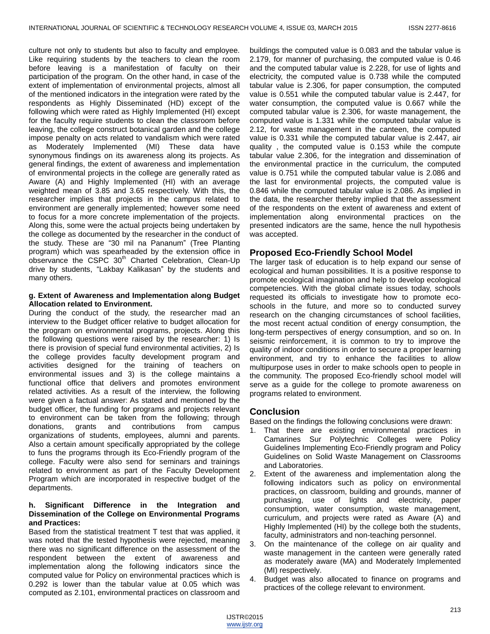culture not only to students but also to faculty and employee. Like requiring students by the teachers to clean the room before leaving is a manifestation of faculty on their participation of the program. On the other hand, in case of the extent of implementation of environmental projects, almost all of the mentioned indicators in the integration were rated by the respondents as Highly Disseminated (HD) except of the following which were rated as Highly Implemented (HI) except for the faculty require students to clean the classroom before leaving, the college construct botanical garden and the college impose penalty on acts related to vandalism which were rated as Moderately Implemented (MI) These data have synonymous findings on its awareness along its projects. As general findings, the extent of awareness and implementation of environmental projects in the college are generally rated as Aware (A) and Highly Implemented (HI) with an average weighted mean of 3.85 and 3.65 respectively. With this, the researcher implies that projects in the campus related to environment are generally implemented; however some need to focus for a more concrete implementation of the projects. Along this, some were the actual projects being undertaken by the college as documented by the researcher in the conduct of the study. These are "30 mil na Pananum" (Tree Planting program) which was spearheaded by the extension office in observance the CSPC 30<sup>th</sup> Charted Celebration, Clean-Up drive by students, "Lakbay Kalikasan" by the students and many others.

#### **g. Extent of Awareness and Implementation along Budget Allocation related to Environment.**

During the conduct of the study, the researcher mad an interview to the Budget officer relative to budget allocation for the program on environmental programs, projects. Along this the following questions were raised by the researcher: 1) Is there is provision of special fund environmental activities, 2) Is the college provides faculty development program and activities designed for the training of teachers on environmental issues and 3) is the college maintains a functional office that delivers and promotes environment related activities. As a result of the interview, the following were given a factual answer: As stated and mentioned by the budget officer, the funding for programs and projects relevant to environment can be taken from the following; through donations, grants and contributions from campus organizations of students, employees, alumni and parents. Also a certain amount specifically appropriated by the college to funs the programs through its Eco-Friendly program of the college. Faculty were also send for seminars and trainings related to environment as part of the Faculty Development Program which are incorporated in respective budget of the departments.

#### **h. Significant Difference in the Integration and Dissemination of the College on Environmental Programs and Practices:**

Based from the statistical treatment T test that was applied, it was noted that the tested hypothesis were rejected, meaning there was no significant difference on the assessment of the respondent between the extent of awareness and implementation along the following indicators since the computed value for Policy on environmental practices which is 0.292 is lower than the tabular value at 0.05 which was computed as 2.101, environmental practices on classroom and

buildings the computed value is 0.083 and the tabular value is 2.179, for manner of purchasing, the computed value is 0.46 and the computed tabular value is 2.228, for use of lights and electricity, the computed value is 0.738 while the computed tabular value is 2.306, for paper consumption, the computed value is 0.551 while the computed tabular value is 2.447, for water consumption, the computed value is 0.667 while the computed tabular value is 2.306, for waste management, the computed value is 1.331 while the computed tabular value is 2.12, for waste management in the canteen, the computed value is 0.331 while the computed tabular value is 2.447, air quality , the computed value is 0.153 while the compute tabular value 2.306, for the integration and dissemination of the environmental practice in the curriculum, the computed value is 0.751 while the computed tabular value is 2.086 and the last for environmental projects, the computed value is 0.846 while the computed tabular value is 2.086. As implied in the data, the researcher thereby implied that the assessment of the respondents on the extent of awareness and extent of implementation along environmental practices on the presented indicators are the same, hence the null hypothesis was accepted.

## **Proposed Eco-Friendly School Model**

The larger task of education is to help expand our sense of ecological and human possibilities. It is a positive response to promote ecological imagination and help to develop ecological competencies. With the global climate issues today, schools requested its officials to investigate how to promote ecoschools in the future, and more so to conducted survey research on the changing circumstances of school facilities, the most recent actual condition of energy consumption, the long-term perspectives of energy consumption, and so on. In seismic reinforcement, it is common to try to improve the quality of indoor conditions in order to secure a proper learning environment, and try to enhance the facilities to allow multipurpose uses in order to make schools open to people in the community. The proposed Eco-friendly school model will serve as a guide for the college to promote awareness on programs related to environment.

## **Conclusion**

Based on the findings the following conclusions were drawn:

- 1. That there are existing environmental practices in Camarines Sur Polytechnic Colleges were Policy Guidelines Implementing Eco-Friendly program and Policy Guidelines on Solid Waste Management on Classrooms and Laboratories.
- 2. Extent of the awareness and implementation along the following indicators such as policy on environmental practices, on classroom, building and grounds, manner of purchasing, use of lights and electricity, paper consumption, water consumption, waste management, curriculum, and projects were rated as Aware (A) and Highly Implemented (HI) by the college both the students, faculty, administrators and non-teaching personnel.
- 3. On the maintenance of the college on air quality and waste management in the canteen were generally rated as moderately aware (MA) and Moderately Implemented (MI) respectively.
- 4. Budget was also allocated to finance on programs and practices of the college relevant to environment.